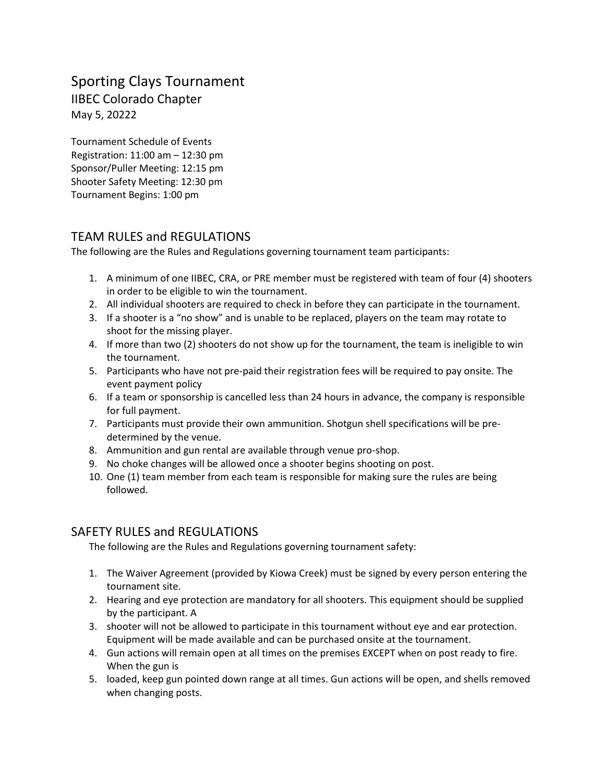# Sporting Clays Tournament IIBEC Colorado Chapter May 5, 20222

Tournament Schedule of Events Registration: 11:00 am – 12:30 pm Sponsor/Puller Meeting: 12:15 pm Shooter Safety Meeting: 12:30 pm Tournament Begins: 1:00 pm

## TEAM RULES and REGULATIONS

The following are the Rules and Regulations governing tournament team participants:

- 1. A minimum of one IIBEC, CRA, or PRE member must be registered with team of four (4) shooters in order to be eligible to win the tournament.
- 2. All individual shooters are required to check in before they can participate in the tournament.
- 3. If a shooter is a "no show" and is unable to be replaced, players on the team may rotate to shoot for the missing player.
- 4. If more than two (2) shooters do not show up for the tournament, the team is ineligible to win the tournament.
- 5. Participants who have not pre-paid their registration fees will be required to pay onsite. The event payment policy
- 6. If a team or sponsorship is cancelled less than 24 hours in advance, the company is responsible for full payment.
- 7. Participants must provide their own ammunition. Shotgun shell specifications will be predetermined by the venue.
- 8. Ammunition and gun rental are available through venue pro-shop.
- 9. No choke changes will be allowed once a shooter begins shooting on post.
- 10. One (1) team member from each team is responsible for making sure the rules are being followed.

## SAFETY RULES and REGULATIONS

The following are the Rules and Regulations governing tournament safety:

- 1. The Waiver Agreement (provided by Kiowa Creek) must be signed by every person entering the tournament site.
- 2. Hearing and eye protection are mandatory for all shooters. This equipment should be supplied by the participant. A
- 3. shooter will not be allowed to participate in this tournament without eye and ear protection. Equipment will be made available and can be purchased onsite at the tournament.
- 4. Gun actions will remain open at all times on the premises EXCEPT when on post ready to fire. When the gun is
- 5. loaded, keep gun pointed down range at all times. Gun actions will be open, and shells removed when changing posts.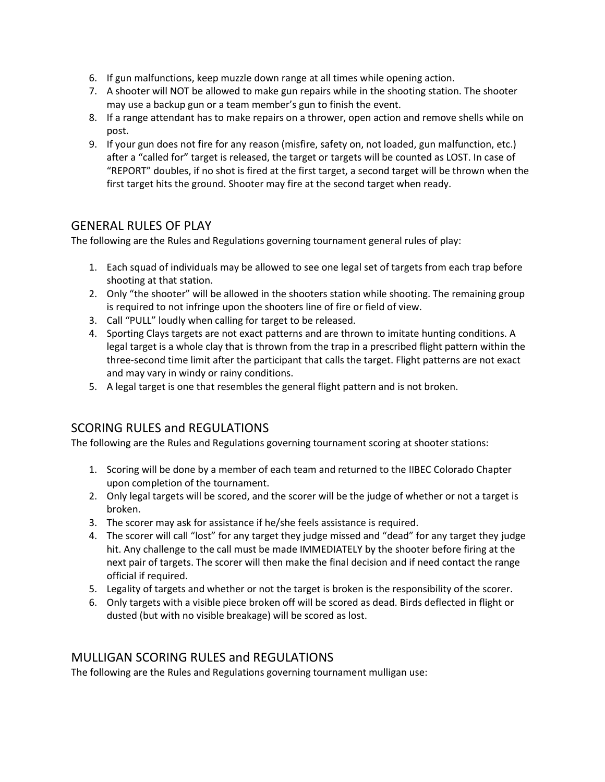- 6. If gun malfunctions, keep muzzle down range at all times while opening action.
- 7. A shooter will NOT be allowed to make gun repairs while in the shooting station. The shooter may use a backup gun or a team member's gun to finish the event.
- 8. If a range attendant has to make repairs on a thrower, open action and remove shells while on post.
- 9. If your gun does not fire for any reason (misfire, safety on, not loaded, gun malfunction, etc.) after a "called for" target is released, the target or targets will be counted as LOST. In case of "REPORT" doubles, if no shot is fired at the first target, a second target will be thrown when the first target hits the ground. Shooter may fire at the second target when ready.

### GENERAL RULES OF PLAY

The following are the Rules and Regulations governing tournament general rules of play:

- 1. Each squad of individuals may be allowed to see one legal set of targets from each trap before shooting at that station.
- 2. Only "the shooter" will be allowed in the shooters station while shooting. The remaining group is required to not infringe upon the shooters line of fire or field of view.
- 3. Call "PULL" loudly when calling for target to be released.
- 4. Sporting Clays targets are not exact patterns and are thrown to imitate hunting conditions. A legal target is a whole clay that is thrown from the trap in a prescribed flight pattern within the three-second time limit after the participant that calls the target. Flight patterns are not exact and may vary in windy or rainy conditions.
- 5. A legal target is one that resembles the general flight pattern and is not broken.

## SCORING RULES and REGULATIONS

The following are the Rules and Regulations governing tournament scoring at shooter stations:

- 1. Scoring will be done by a member of each team and returned to the IIBEC Colorado Chapter upon completion of the tournament.
- 2. Only legal targets will be scored, and the scorer will be the judge of whether or not a target is broken.
- 3. The scorer may ask for assistance if he/she feels assistance is required.
- 4. The scorer will call "lost" for any target they judge missed and "dead" for any target they judge hit. Any challenge to the call must be made IMMEDIATELY by the shooter before firing at the next pair of targets. The scorer will then make the final decision and if need contact the range official if required.
- 5. Legality of targets and whether or not the target is broken is the responsibility of the scorer.
- 6. Only targets with a visible piece broken off will be scored as dead. Birds deflected in flight or dusted (but with no visible breakage) will be scored as lost.

#### MULLIGAN SCORING RULES and REGULATIONS

The following are the Rules and Regulations governing tournament mulligan use: